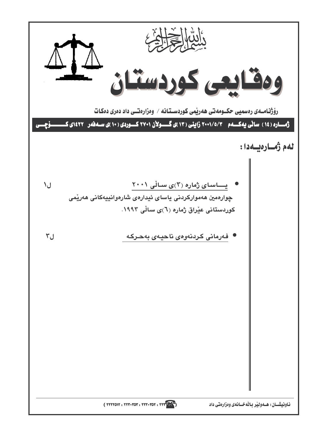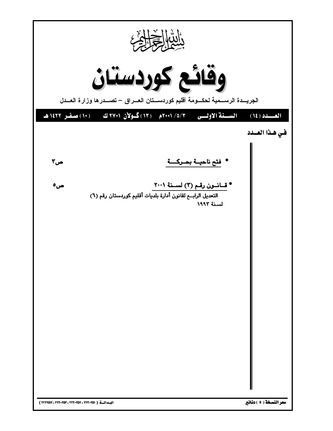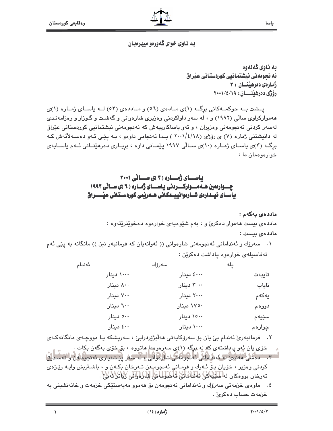$\Delta$ 

به ناوي گەلەوە ئه نجومهنی نیشتمانیی کوردستانی عیراق أمارهي دهرهننان ٣: رۆژى دەرھىنىسان: ١٩/٤/١٩

ياسا

یسشت به حوکمهکانی برگ (۱)ی مادهی (٥٦) و ماددهی (٥٣) لـه یاسـای ژمـاره (۱)ی ههموارکراوی سالّی (۱۹۹۲) و ، له سهر داواکردنی وهزیری شارهوانی و گهشت و گـوزار و رهزامهندی لەسەر كردنى ئەنجومەنى وەزيران ، و ئەو ياساكارييەش كە ئەنجومەنى نيشتمانيى كوردستانى عێراق له دانیشتنی ژماره (۷) ی رۆژی (۱۸/٤/۱۸) پـدا ئەنجامی داوەو ، بـه پێـی ئـهو دەسـهلأتهش کـه برگ) (۳)ی پاسـای ژمـاره (۱۰)ی سـالّی ۱۹۹۷ پیّمـانی داوه ، بریـاری دهرهیننـانی ئـهم پاسـایهی خوارهوهمان دا :

# باسای ژماره (۳)ی سانی ۲۰۰۱ چسوارهمین هسه مسوارکسردنی پاسسای ژمساره ( ٦ )ی سسانی ۱۹۹۳ ياســاى ئيــدارەى شــارەوانييـــەكـانى ھــەرێمى كوردســتـانى عيْـــــــــراق

ماددەي يەكەم : مادده ی بیست ههموار دهکری و ، بهم شیوهیهی خوارهوه دهخوینریتهوه :

# ماددەى بىست :

۰۱ سەرۆك و ئەندامانى ئەنجومەنى شارەوانى (( ئەوانەيان كە فرمانبەر نين )) مانگانە بە يێى ئەم تەفاسىيلەي خوارەوە ياداشت دەكرين :

| ئەندام |             | سەرۆك      | ىلە |        |
|--------|-------------|------------|-----|--------|
|        | ۱۰۰۰۰ دینار | ٤٠٠٠ دينار |     | تايبەت |
|        | ۸۰۰ دینار   | ۳۰۰۰ دینار |     | ناياب  |
|        | ۷۰۰ دینار   | ۲۰۰۰ دینار |     | يەكەم  |
|        | ٦٠٠ دينار   | ۱۷۵۰ دینار |     | دووهم  |
|        | ٥٠٠ دينار   | ۱۵۰۰ دینار |     | سێڀهم  |
|        | ٤٠٠ دينار   | ۱۰۰۰ دینار |     | ڇوارهم |

۲. فرمانبەریؒ ئەندام بیؒ یان بۆ سەرۆکایەتی ھەل٘بژێردرابیؒ ، سەریشکە یـا مووچـەی مانگانەکـەی

خۆی یان پُهو پادِاشتهی که لِه پږگه (۱)یِ سهرهومدا ماتووه ، بۆ خۆی بهگهن بکات . کردنی وهزیر ، خوّیان بـوّ ئـهرك و فرمـانی ئهنجومـهن تـهرخان بكـهن و ، باشـتریش وایـه ریِّژهى تەرخان بورەكان لە سايلەكى ئەنداشانى ئەكبامادى لتارامانى زىلانلانلاپلا . ٤. ماوەي خزمەتى سەرۆك و ئەندامانى ئەنجومەن بۆ ھەموو مەبەستێكى خزمەت و خانەنشىنى بە خزمەت حساب دەكرىٰ .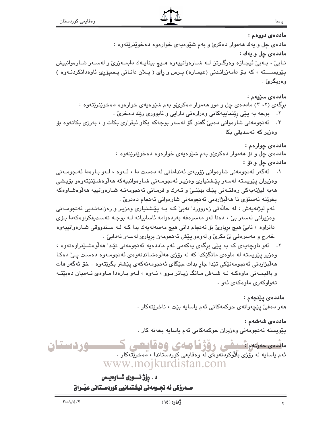ماددەى دووەم :

مادهۍ چل و پهك ههموار دهكرئ و بهم شێوهپهي خوارهوه دهخوێنرێتهوه :

## ماددهى چل و يەك :

نــابيٰ ، بــهبيٰ ئيجـازه وهرگـرتن لــه شــارهوانييهوه هــيـچ بينايــهك دابمــهزريٰ و لهســهر شــارهوانييش پێویســـــته ، که بــۆ دامهزرانــدنی (عیمـاره) پــرس و رای ( پــلان دانــانی پــسپۆری ئاوهدانکردنــهوه ) وهربگرئ .

# ماددەي سێپەم :

- برگهی (۲، ۳) ماددهی چل و دوو ههموار دهکری،و بهم شنیوهیهی خوارهوه دهخوینزیتهوه :
	- ۲. بوجه به پێی رێنماییهکانی وهزارهتی دارایی و ئابووری رێك دهخریٰ .
- ۴. ئەنجومەنى شارەوانى دەبىٚ گفتو گۆ لەسەر بوجەكە بكاو ئيقرارى بكات و ، بەرزى بكاتەوە بۆ وەزىر كە تەسدىقى بكا .

## ماددە*ى* چوارەم :

مادده ی چل و نو ههموار دهکری و به م شیوه یه ی خوارهوه دهخوینریتهوه :

# ماددهى چل و نق :

۰۱ ئەگەر ئەنجومەنى شارەوانى زۆربەي ئەندامانى لە دەست دا ، ئـەوە ، لـەو بـارەدا ئەنجومـەنى وەزيران يێويستە لەسەر يێشنيارى وەزيـر ئەنجومـەنى شـارەوانىيەكە ھەلّۈەشىێنێتەوەو بۆيىشى مەيە ليژنەيەكى رەڧتـەنى پێك بهێنـێ و ئـەرك و ڧرمـانى ئەنجومەنـﻪ شـارەوانييە مەلوەشـاوەكە بخريتە ئەستۆي تا ھەلبژاردنى ئەنجومەنى شارەوانى ئەنجام دەدرى .

ئهم ليژنهپهش ، له حالَّهتي زەرووردا نەبيّ كـه بـه پێشنياري وەزيـر و رەزامەنـديي ئەنجومـەني وەزيرانى لەسەر بىّ ، دەنا لەو مەسرەفە بەردەوامە ئاساييانە لـە بوجـە تەسـدېقكراوەكەدا بـۆى دانراوه ، نابيٌ هيچ برياريٌ بِيِّ ئه نجام داني هيچ مهسهلهيهك بدا كـه لـه سـندووقي شـارهوانييهوه خەرج و مەسرەفى لىّ بكرىّ و لەوەو پێش ئەنجومەن بريارى لەسەر نەدابىّ .

۲. ئەو ناوچەپەي كە بە يێى برگەي پەكەمى ئەم ماددەپە ئەنجومەنى تێدا ھەلّۈەشىێنراوەتەوە ، وهزير پێويسته له ماوهي مانگێکدا که له رۆژي ههڵوهشاندنهوهي ئهنجومـهوه دهسـت پـیّ دهکـا مەلبژاردنى ئەنجومەنێكى تێدا جار بدات جێگاى ئەنجومەنەكەي پێشتر بگرێتەوە ٠ خۆ ئەگەر مات و باقیمـهنی ماوهكـه لـه شـهش مـانگ زیـاتر بـوو ، ئـهوه ، لـهو بـارهدا مـاوهى ئـهمیان دهبێتـه تهواوكه دي ماوهكهي ئهو .

# ماددەى يێنجەم :

هەر دەقىؒ يێڇەوانەي حوكمەكانى ئەم ياسايە بێت ، ناخرێتەكار .

# ماددەي شەشەم :

يٽويسته ئەنجومەنى وەزيران حوكمەكانى ئەم ياسايە بخەنە كار .

وردستان مائسی علاورانسلیٹی دفؤنا صلای 66قابضی کے ئهم ياسايه له رَۆْژى بْلْاوكردنەوەنى لە وەقايعى كوردستاندا ، دەخرىتەكار . www.mojkurdistan.com

> د . رؤژ نسوری شــاوهیـس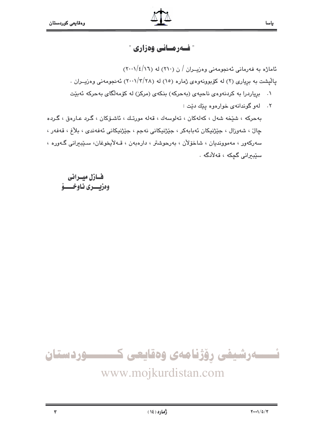# " فسەرمسانى وەزارى "

ئاماژه به فهرمانی ئهنجومهنی وهزیوان / ن (٢١٠) له (١٦/٤/١٠١/) یالیشت به بریاری (۲) له کوبوونهوهی ژماره (۱٥) له (۲۰۰/۳/۲۸) ئه نجومهنی وهزیــران .

- ۰۱ برپاردرا به کردنهوهی ناحیهی (بهحرکه) بنکهی (مرکز) له کۆمهلگای بهحرکه ئهبیّت
- ٢. لهو گوندانهي خوارهوه يێك دێت : بەحركە ، شێخە شەل ، كەلەكان ، تەلوسەك ، قەلە مورتك ، ئاشىۆكان ، گـرد عـارەق ، گـردە چال ، شەوزال ، جێژنیکان ئەبابەکر ، جێژنیکانی نەجم ، جێژنیکانی ئەفەندى ، بلاغ ، قەفەر ، سەركەور ، مەموونديان ، شاخۆلان ، بەرجوشتر ، دارەبەن ، قـەلايخوغان، سىيبىرانى گـەورە ، سێبيرانى گچكە ، قەلأدگە .

فسازل ميسرانى وەزيىسىرى نياوخىسىۋ



# www.mojkurdistan.com

 $\overline{\mathbf{Y}}$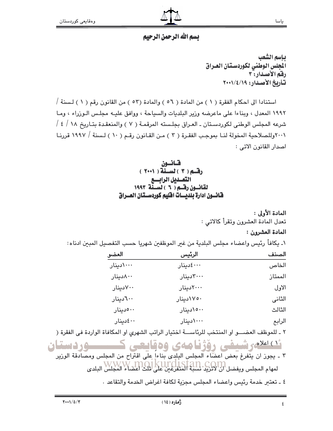#### ياسا

# يسم الله الرحمن الرحيم

بإسم الشعب ألحلس الوطني لكوردستان العراق رفم الأصدار: ٣ تأريخ الأصدار: ١٩/٤/١٩

استنادا الى احكام الفقرة ( ١ ) من المادة ( ٥٦ ) والمادة (٥٣ ) من القانون رقم ( ١ ) لـسنة / ١٩٩٢ المعدل ، وبناءا على ماعرضه وزير البلديات والسياحة ، ووافق عليه مجلس الوزراء ، وما شرعه المجلس الوطني لكوردستان ـ العراق بجلسته المرقمـة ( ٧ ) والمنعقدة بتـاريخ ١٨ / ٤ / ٢٠٠١وللصلاحية المخولة لنـا بموجب الفقـرة ( ٣ ) مـن القـانون رقـم ( ١٠ ) لـسنة / ١٩٩٧ قررنـا اصدار القانون الاتي :



المادة الأولى : تعدل المادة العشرون وتقرأ كالاتي :

## المادة العشرون :

١ـ يكافأ رئيس واعضاء مجلس البلدية من غير الموظفين شهريا حسب التفصيل المبين ادناه:

| العضو      | الرئيس     | الصنف   |
|------------|------------|---------|
| ۱۰۰۰۰دینار | ٤٠٠٠٤دينار | الخاص   |
| ۸۰۰دینار   | ٣٠٠٠٠دينار | الممتاز |
| ۷۰۰دینار   | ٢٠٠٠٠دينار | الاول   |
| ٢٠٠دينار   | ۱۷۵۰دینار  | الثانى  |
| ٥٠٠دينار   | ١٥٠٠دينار  | الثالث  |
| ٤٠٠٠ دينار | ۱۰۰۰دینار  | الرابع  |

٢ ـ للموظف العضـــو او المنتخب للرئاســـة اختيار الراتب الشهرى او المكافاة الواردة في الفقرة (

ئدسورشيفي رؤژنامەي وەقايعى كـــــوردستان ٣ ـ يجوز ان يتَّفرغ بعض اعضَّاء المجلس البِلدى بناءاً على اقتراح من المجلس ومصادقة الوزير لمهام المجلس ويفضل ال WWW .111 [CO151311 .CO11]<br>لمهام المجلس ويفضل ان لاتزيد نسببه المتفرغين على لثلث اعضاء المجلس البلدي

٤ ـ تعتبر خدمة رئيس واعضاء المجلس مجزية لكافة اغراض الخدمة والتقاعد .